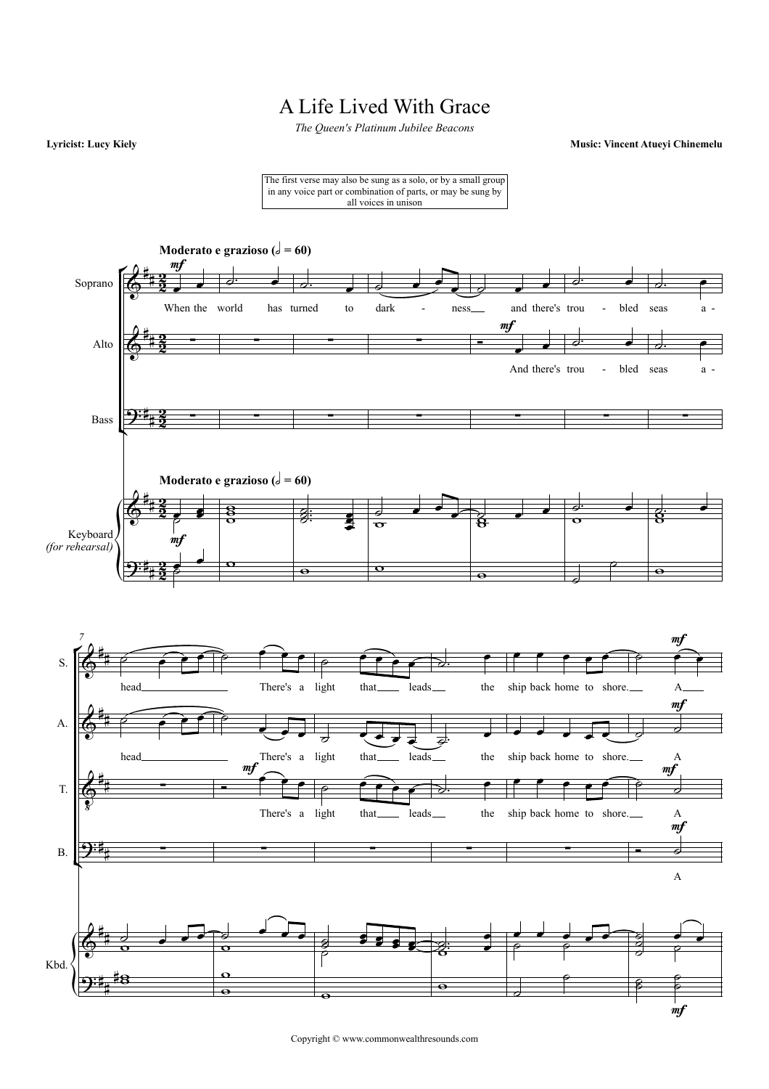## A Life Lived With Grace

*The Queen's Platinum Jubilee Beacons*

### **Lyricist: Lucy Kiely Music: Vincent Atueyi Chinemelu**

The first verse may also be sung as a solo, or by a small group in any voice part or combination of parts, or may be sung by all voices in unison



Copyright © www.commonwealthresounds.com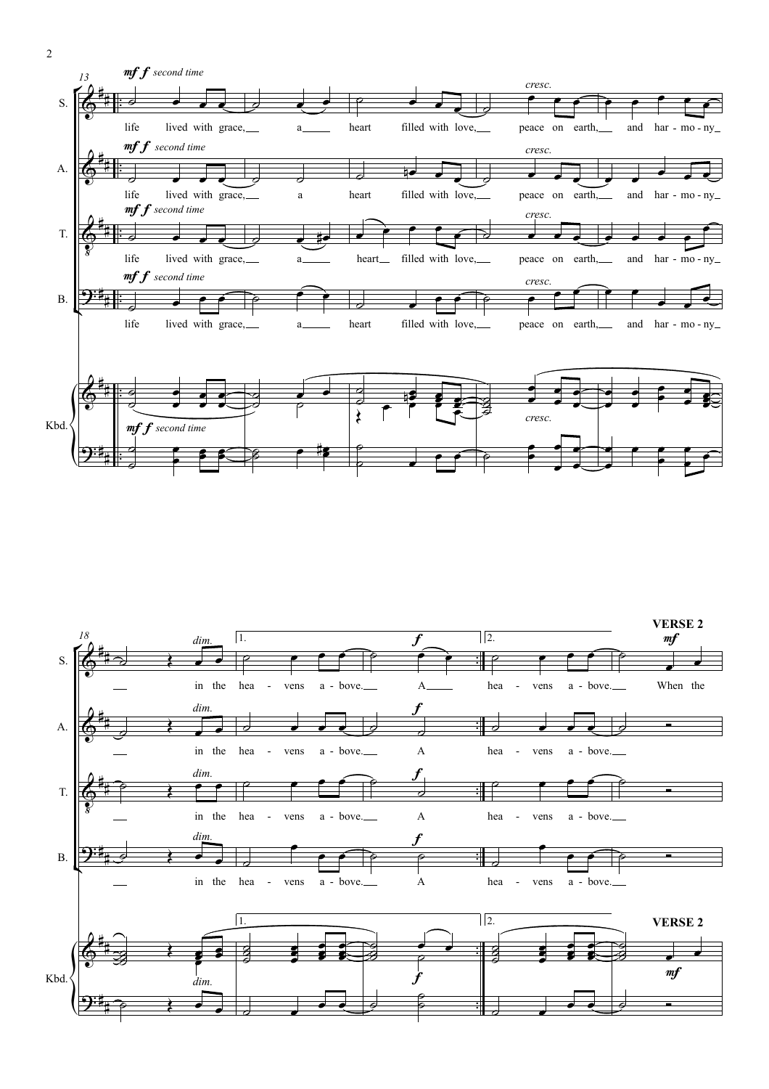

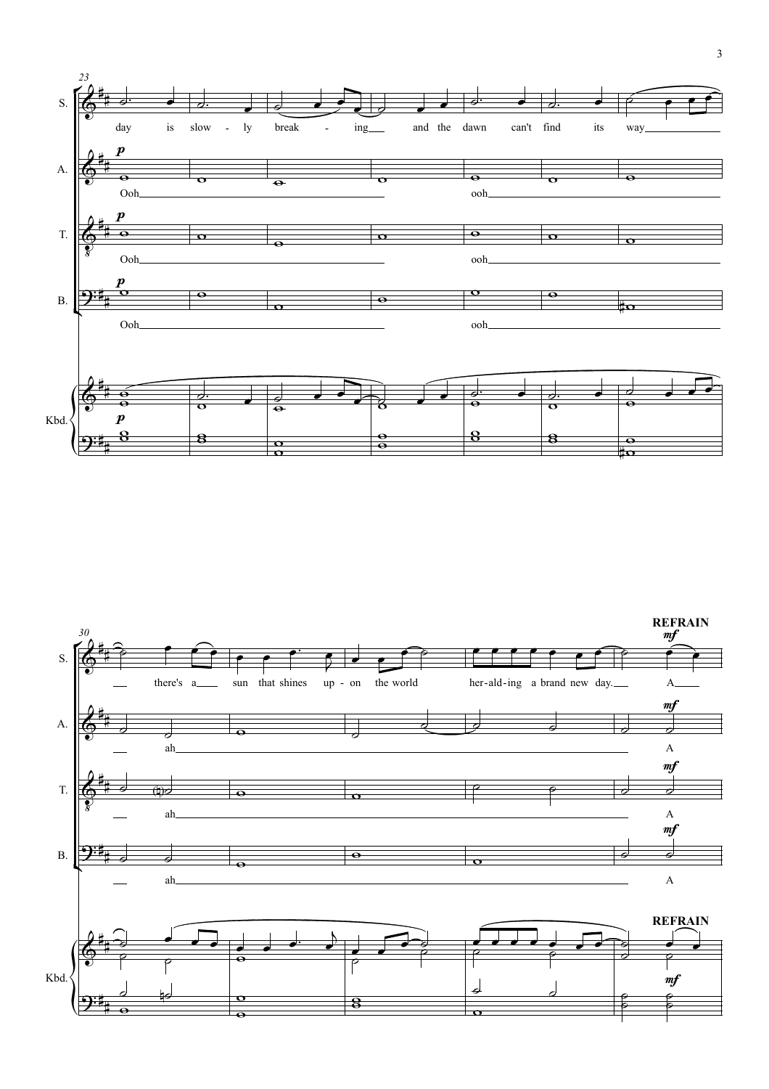

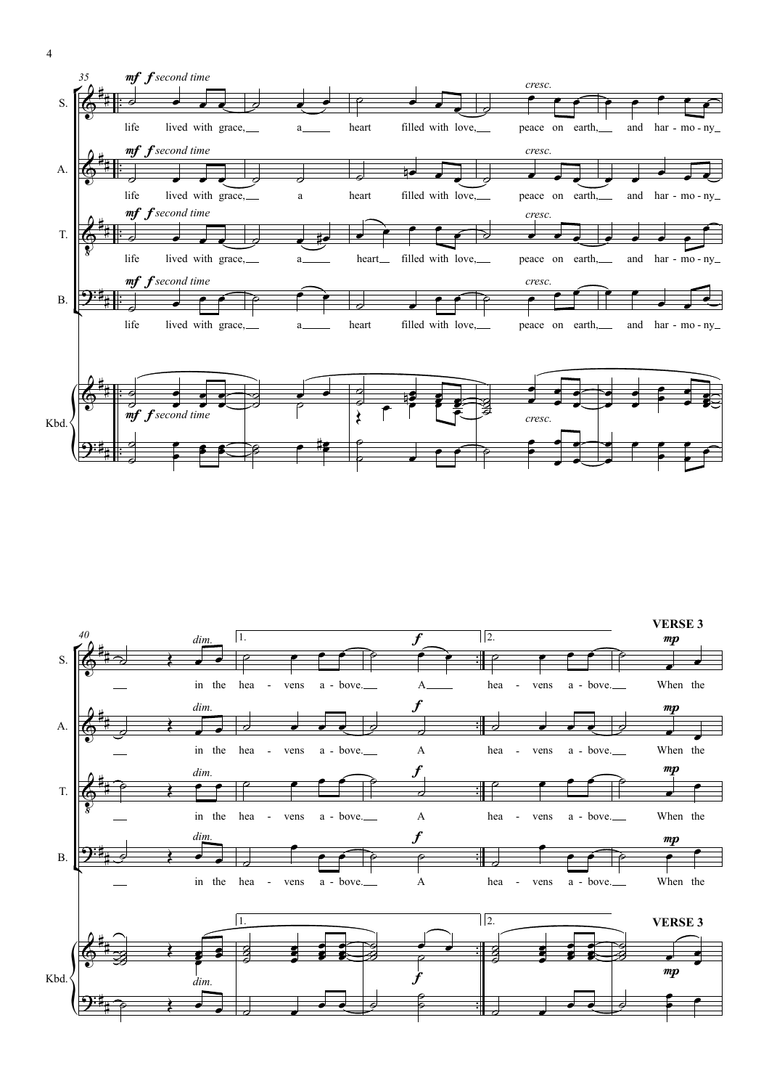



4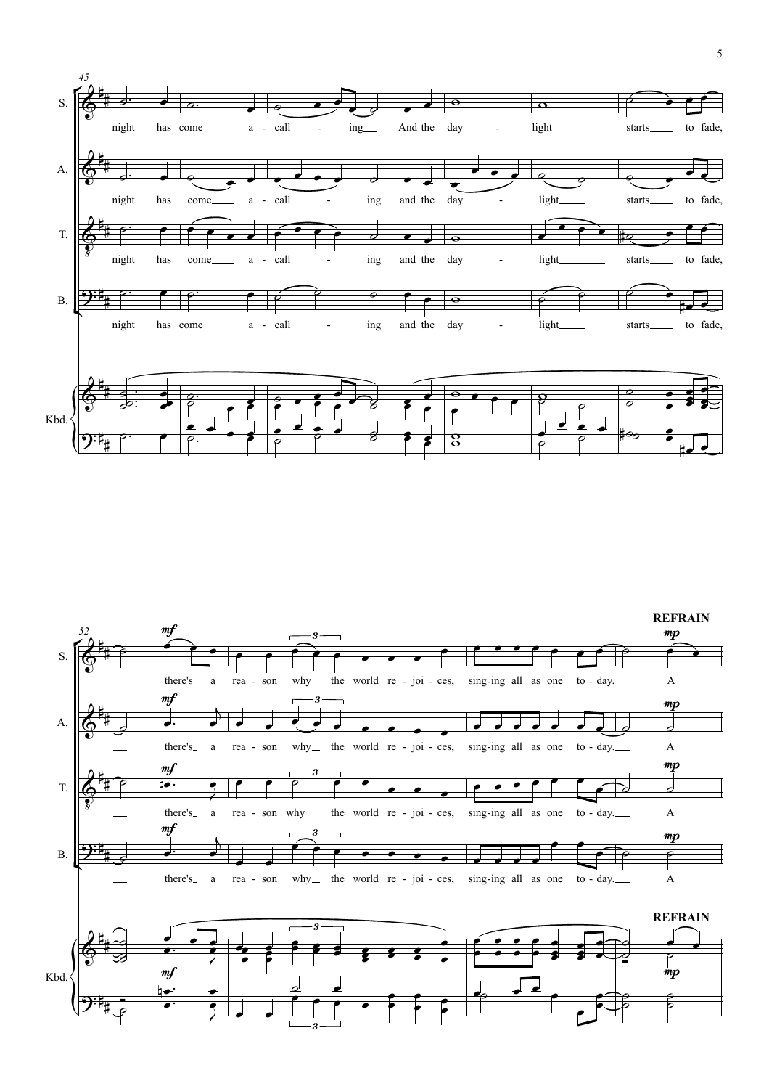

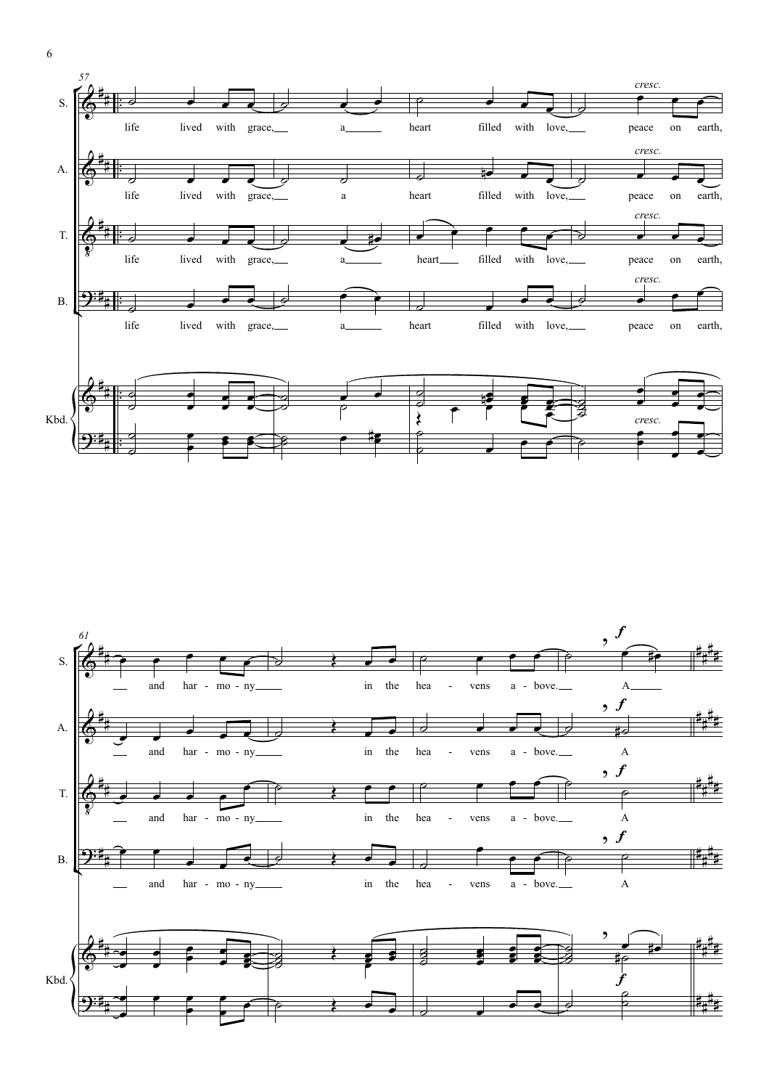



6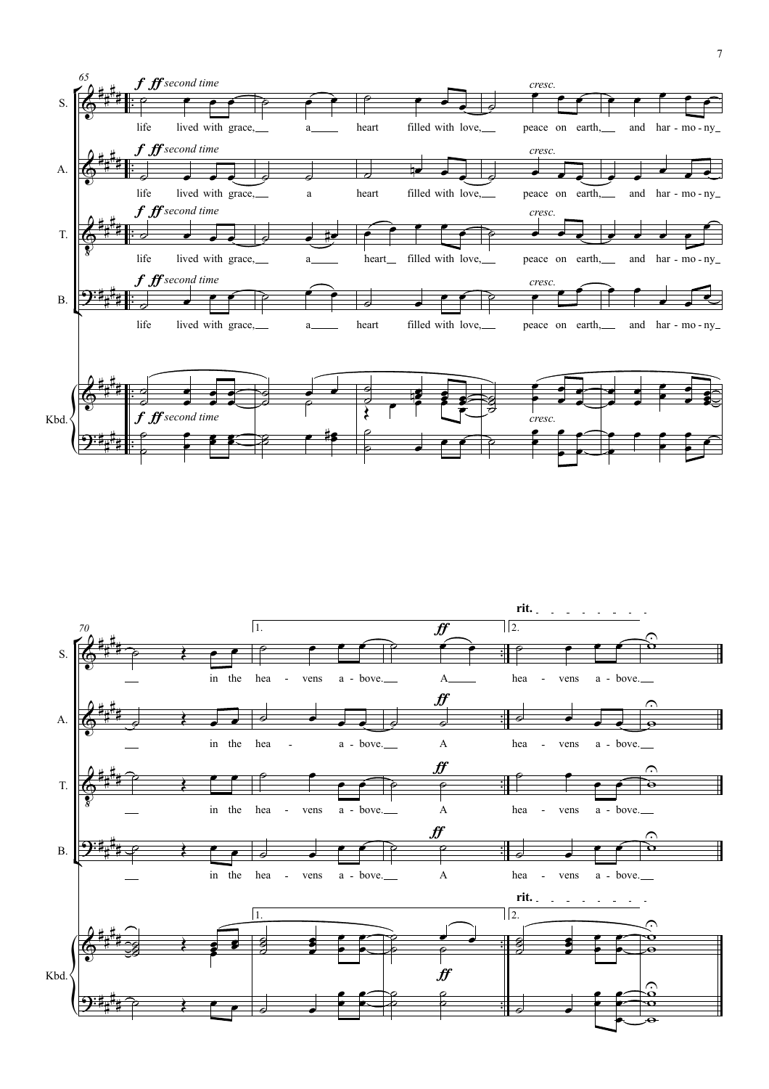

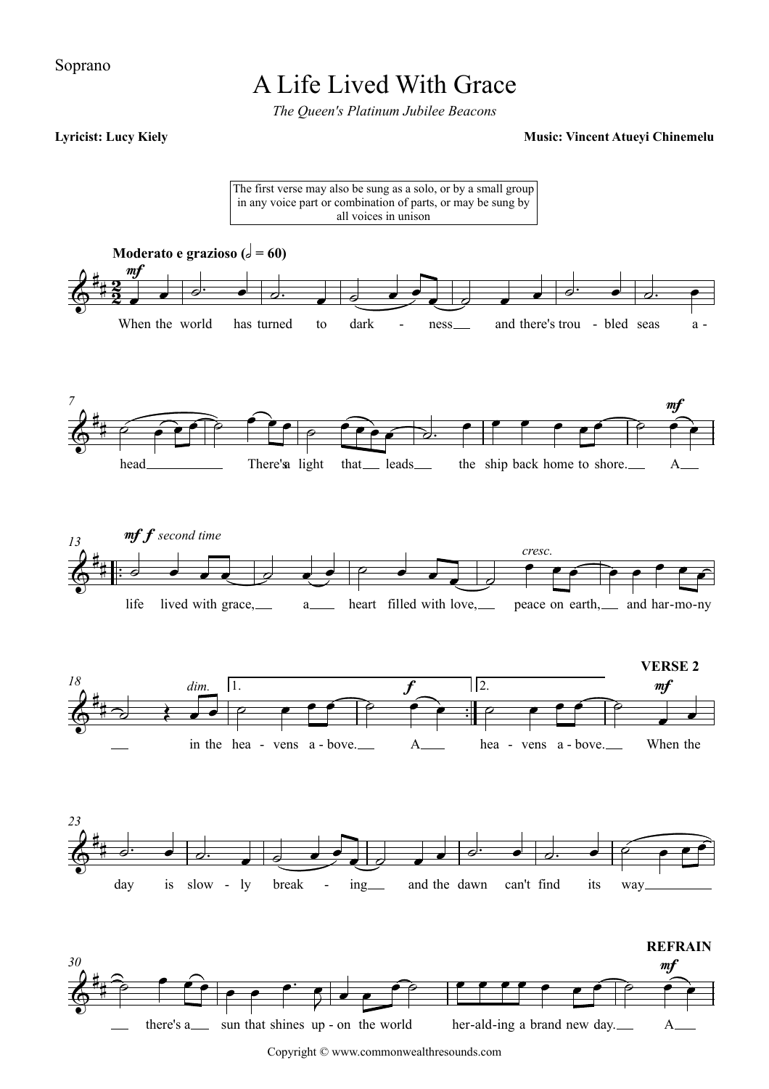### Soprano

# A Life Lived With Grace

*The Queen's Platinum Jubilee Beacons*



Copyright © www.commonwealthresounds.com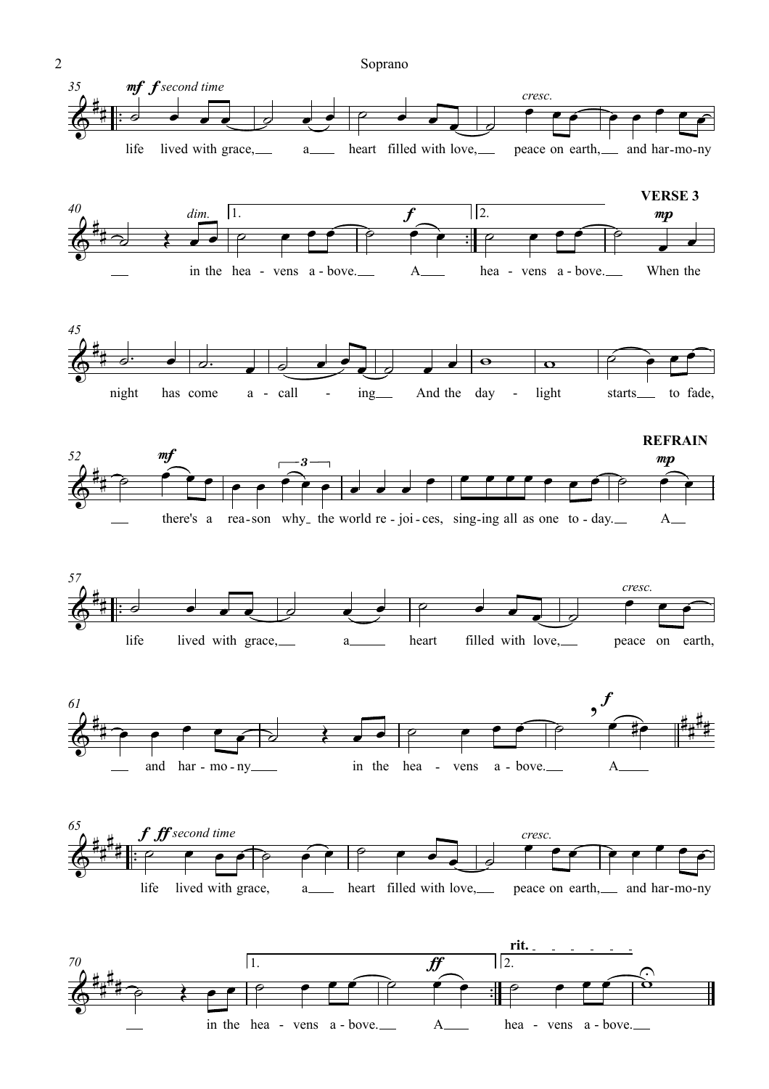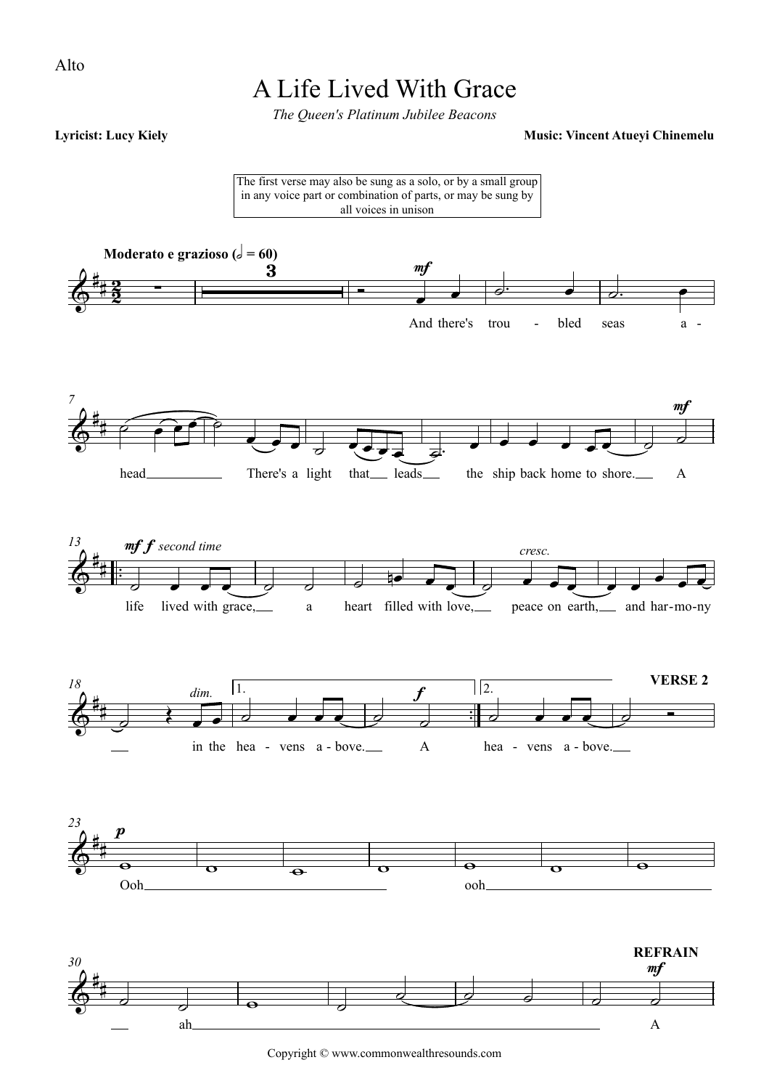### Alto

## A Life Lived With Grace

*The Queen's Platinum Jubilee Beacons*

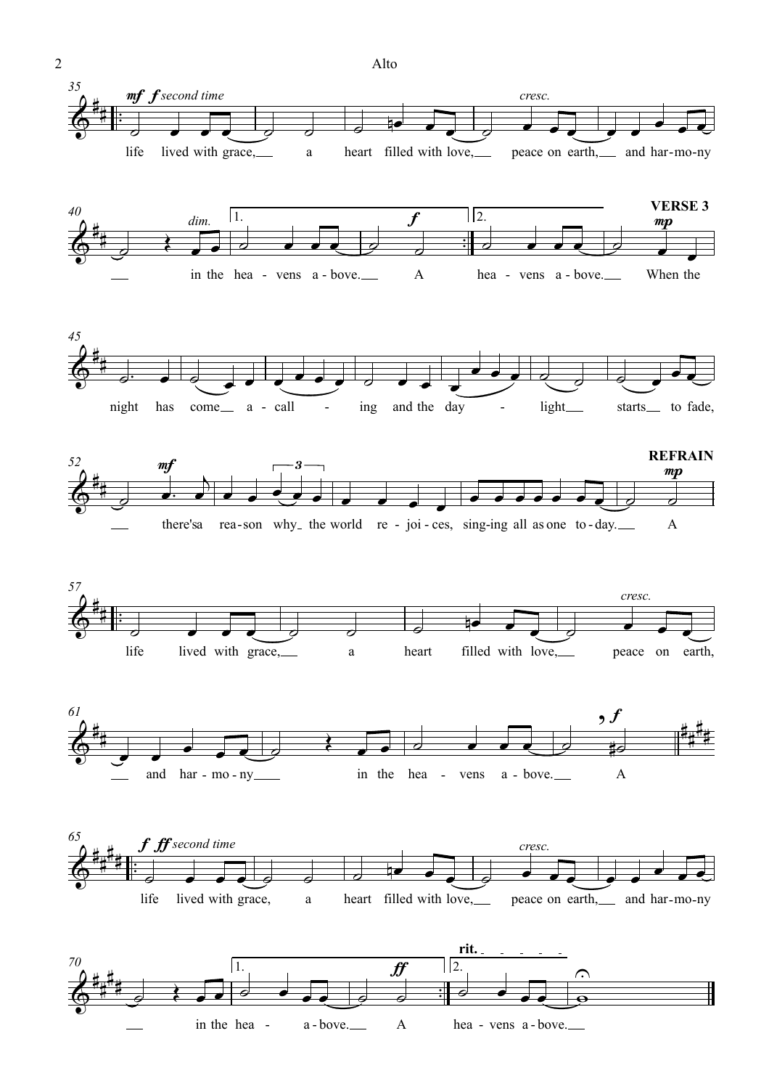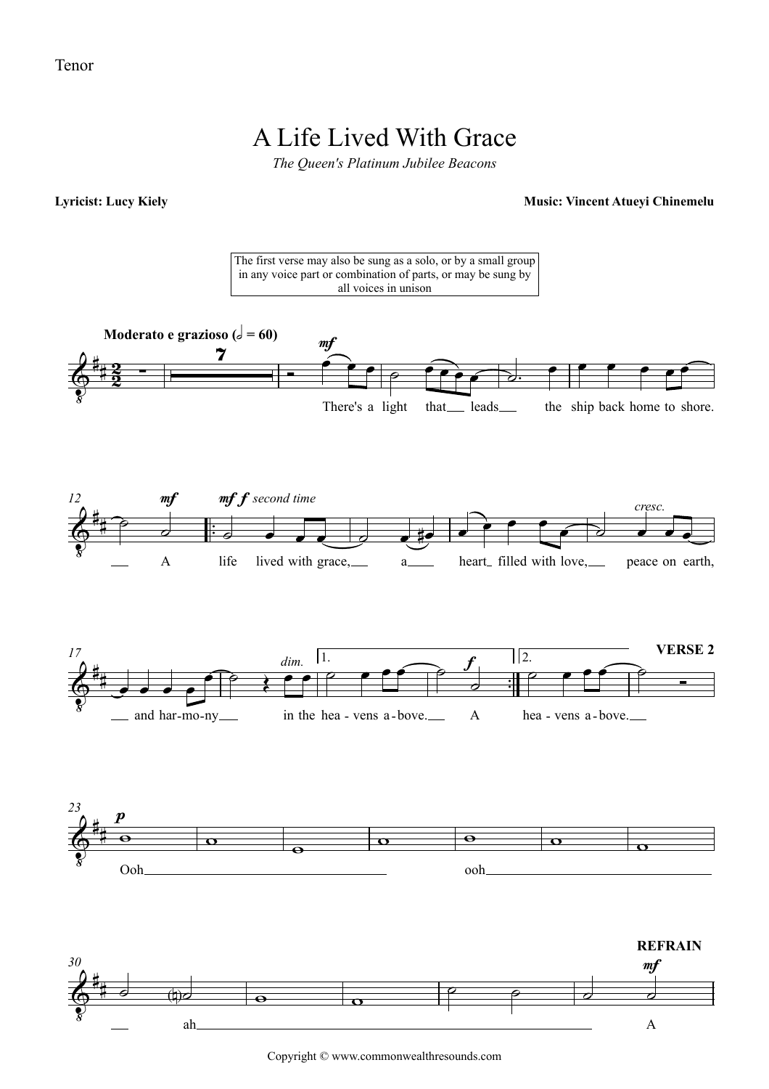### Tenor

## A Life Lived With Grace

*The Queen's Platinum Jubilee Beacons*



Copyright © www.commonwealthresounds.com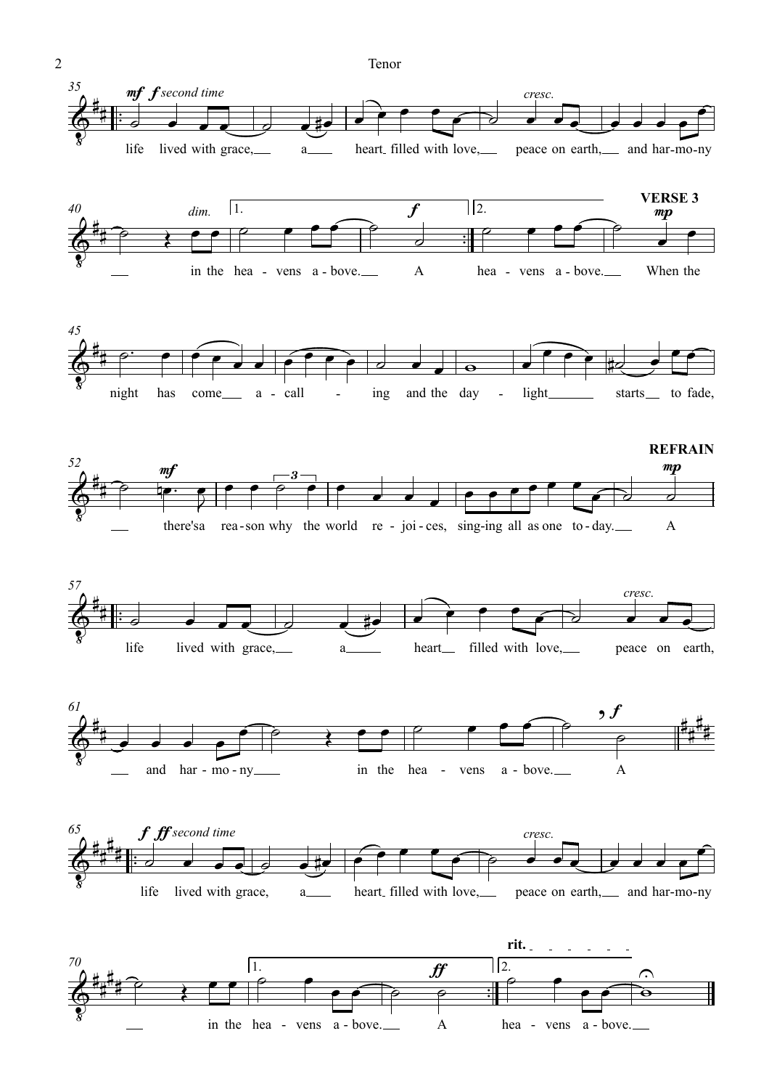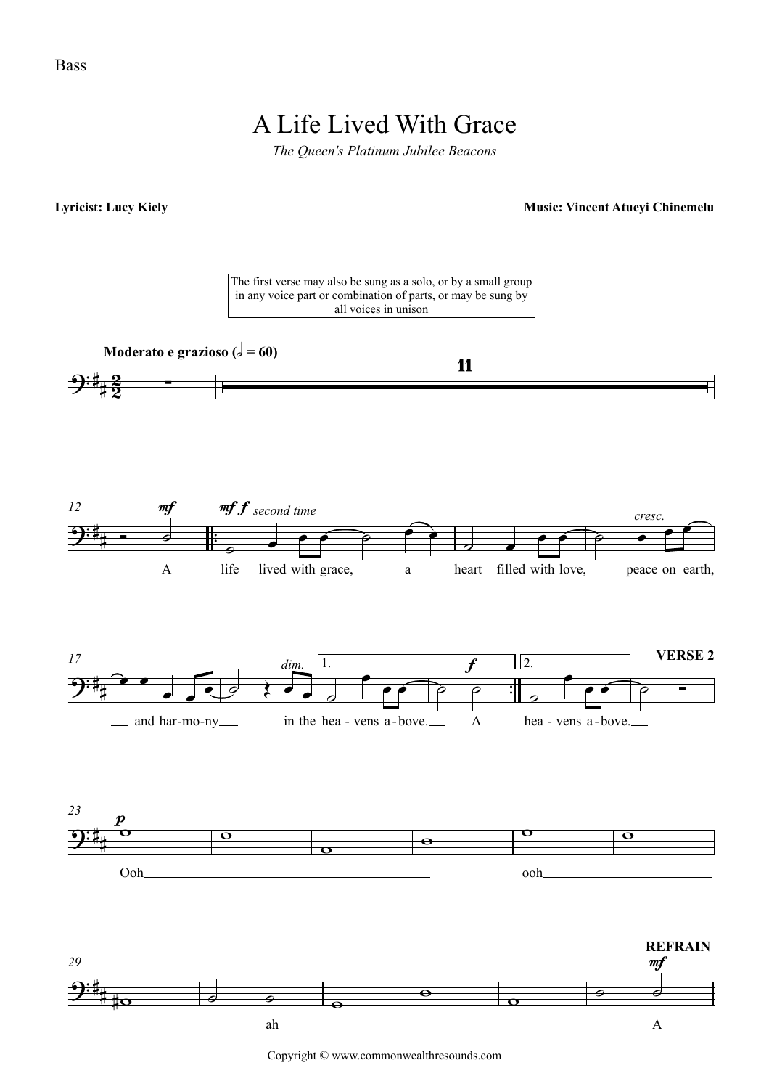### Bass

## A Life Lived With Grace

*The Queen's Platinum Jubilee Beacons*



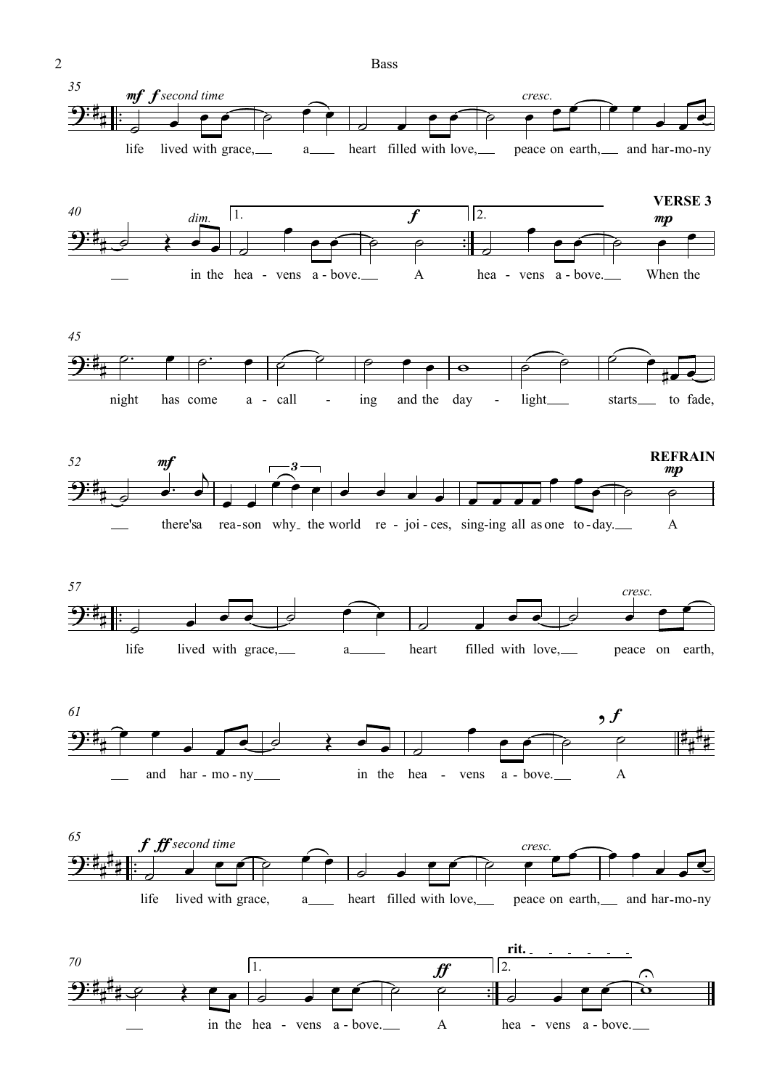

in the hea - vens a - bove. A

hea - vens a - bove.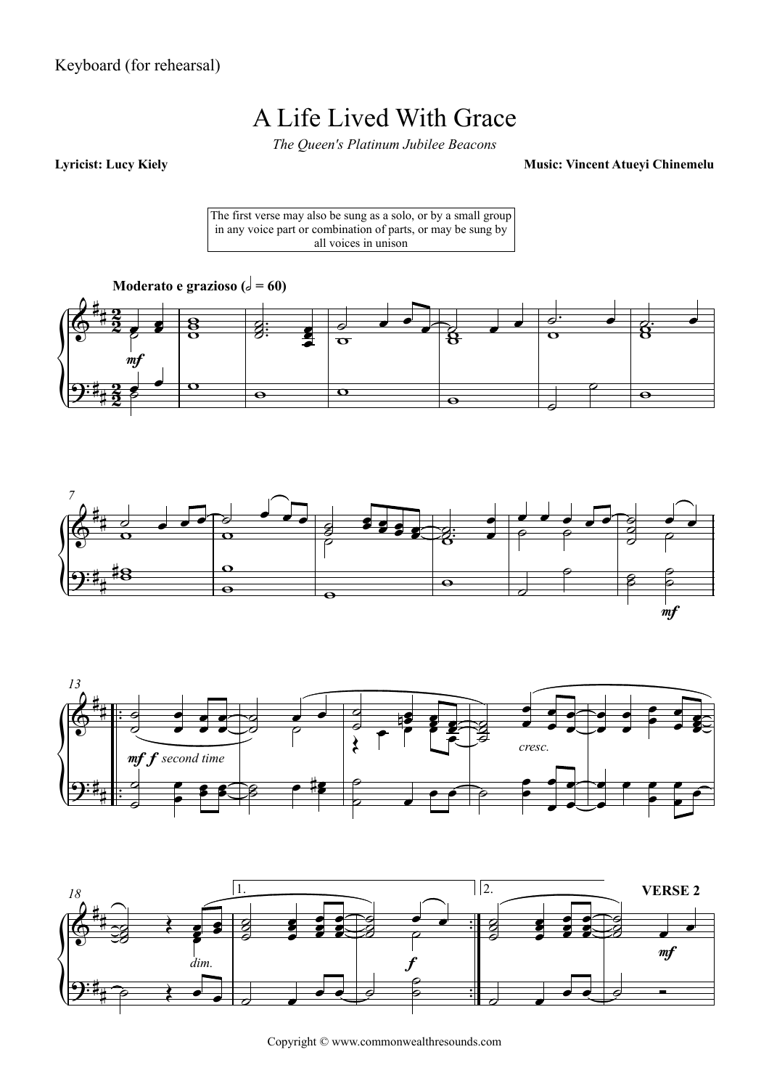Keyboard (for rehearsal)

## A Life Lived With Grace

*The Queen's Platinum Jubilee Beacons*

**Lyricist: Lucy Kiely Music: Vincent Atueyi Chinemelu**

The first verse may also be sung as a solo, or by a small group in any voice part or combination of parts, or may be sung by all voices in unison







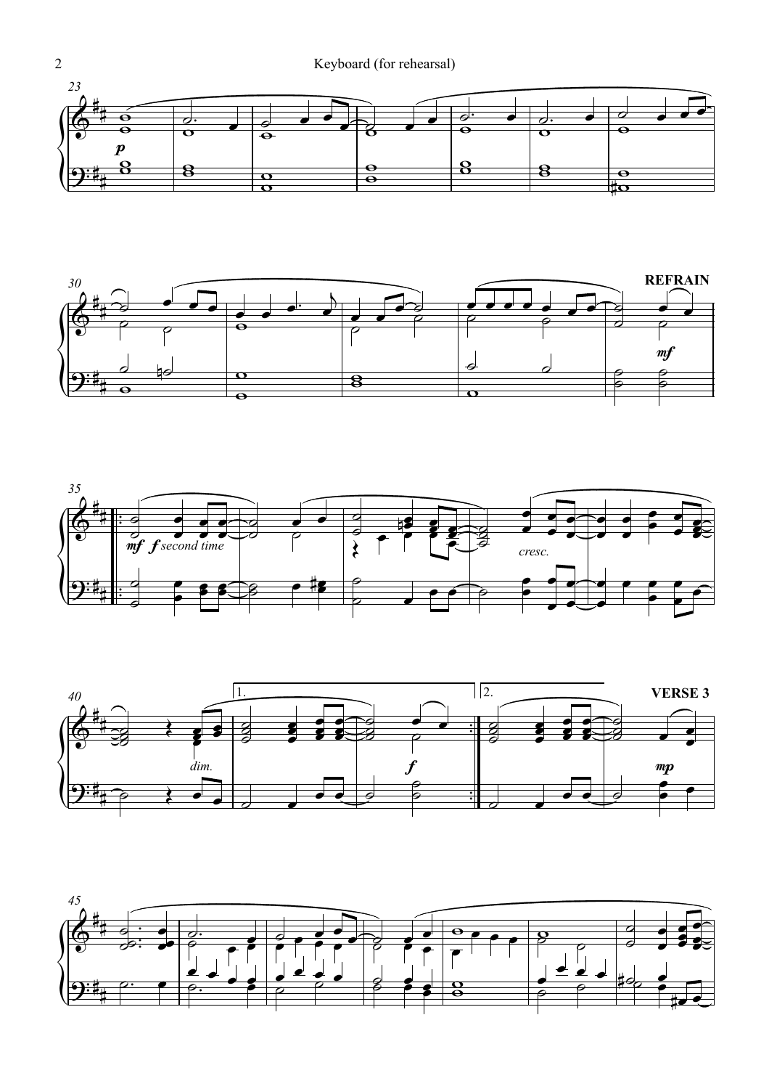